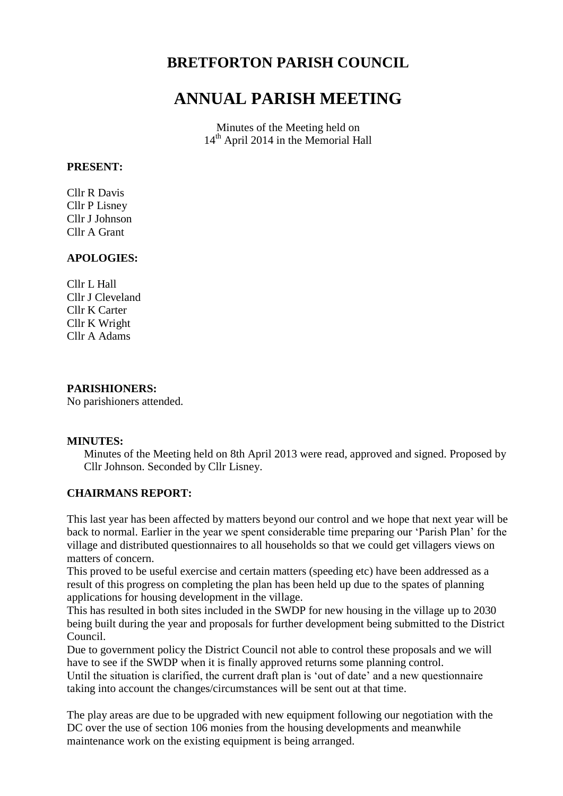## **BRETFORTON PARISH COUNCIL**

# **ANNUAL PARISH MEETING**

Minutes of the Meeting held on 14<sup>th</sup> April 2014 in the Memorial Hall

#### **PRESENT:**

Cllr R Davis Cllr P Lisney Cllr J Johnson Cllr A Grant

## **APOLOGIES:**

Cllr L Hall Cllr J Cleveland Cllr K Carter Cllr K Wright Cllr A Adams

#### **PARISHIONERS:**

No parishioners attended.

#### **MINUTES:**

Minutes of the Meeting held on 8th April 2013 were read, approved and signed. Proposed by Cllr Johnson. Seconded by Cllr Lisney.

#### **CHAIRMANS REPORT:**

This last year has been affected by matters beyond our control and we hope that next year will be back to normal. Earlier in the year we spent considerable time preparing our 'Parish Plan' for the village and distributed questionnaires to all households so that we could get villagers views on matters of concern.

This proved to be useful exercise and certain matters (speeding etc) have been addressed as a result of this progress on completing the plan has been held up due to the spates of planning applications for housing development in the village.

This has resulted in both sites included in the SWDP for new housing in the village up to 2030 being built during the year and proposals for further development being submitted to the District Council.

Due to government policy the District Council not able to control these proposals and we will have to see if the SWDP when it is finally approved returns some planning control.

Until the situation is clarified, the current draft plan is 'out of date' and a new questionnaire taking into account the changes/circumstances will be sent out at that time.

The play areas are due to be upgraded with new equipment following our negotiation with the DC over the use of section 106 monies from the housing developments and meanwhile maintenance work on the existing equipment is being arranged.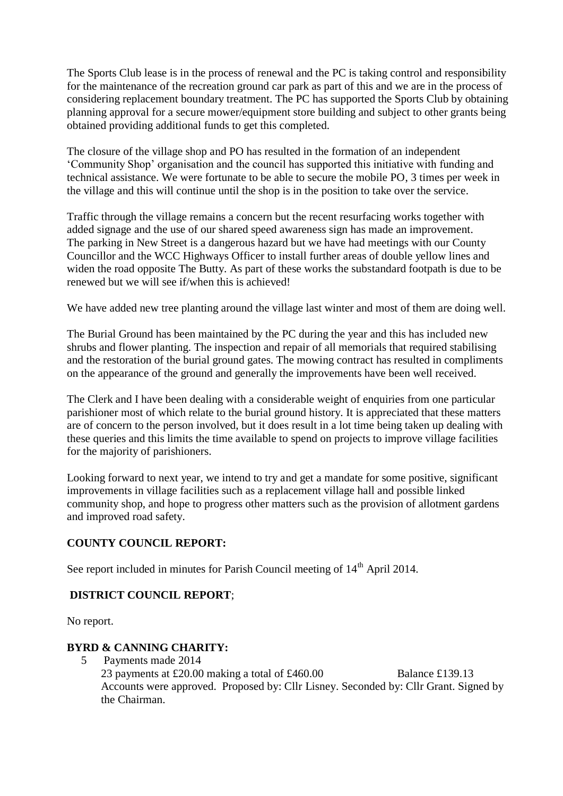The Sports Club lease is in the process of renewal and the PC is taking control and responsibility for the maintenance of the recreation ground car park as part of this and we are in the process of considering replacement boundary treatment. The PC has supported the Sports Club by obtaining planning approval for a secure mower/equipment store building and subject to other grants being obtained providing additional funds to get this completed.

The closure of the village shop and PO has resulted in the formation of an independent 'Community Shop' organisation and the council has supported this initiative with funding and technical assistance. We were fortunate to be able to secure the mobile PO, 3 times per week in the village and this will continue until the shop is in the position to take over the service.

Traffic through the village remains a concern but the recent resurfacing works together with added signage and the use of our shared speed awareness sign has made an improvement. The parking in New Street is a dangerous hazard but we have had meetings with our County Councillor and the WCC Highways Officer to install further areas of double yellow lines and widen the road opposite The Butty. As part of these works the substandard footpath is due to be renewed but we will see if/when this is achieved!

We have added new tree planting around the village last winter and most of them are doing well.

The Burial Ground has been maintained by the PC during the year and this has included new shrubs and flower planting. The inspection and repair of all memorials that required stabilising and the restoration of the burial ground gates. The mowing contract has resulted in compliments on the appearance of the ground and generally the improvements have been well received.

The Clerk and I have been dealing with a considerable weight of enquiries from one particular parishioner most of which relate to the burial ground history. It is appreciated that these matters are of concern to the person involved, but it does result in a lot time being taken up dealing with these queries and this limits the time available to spend on projects to improve village facilities for the majority of parishioners.

Looking forward to next year, we intend to try and get a mandate for some positive, significant improvements in village facilities such as a replacement village hall and possible linked community shop, and hope to progress other matters such as the provision of allotment gardens and improved road safety.

## **COUNTY COUNCIL REPORT:**

See report included in minutes for Parish Council meeting of  $14<sup>th</sup>$  April 2014.

## **DISTRICT COUNCIL REPORT**;

No report.

## **BYRD & CANNING CHARITY:**

5 Payments made 2014

23 payments at £20.00 making a total of £460.00 Balance £139.13 Accounts were approved. Proposed by: Cllr Lisney. Seconded by: Cllr Grant. Signed by the Chairman.